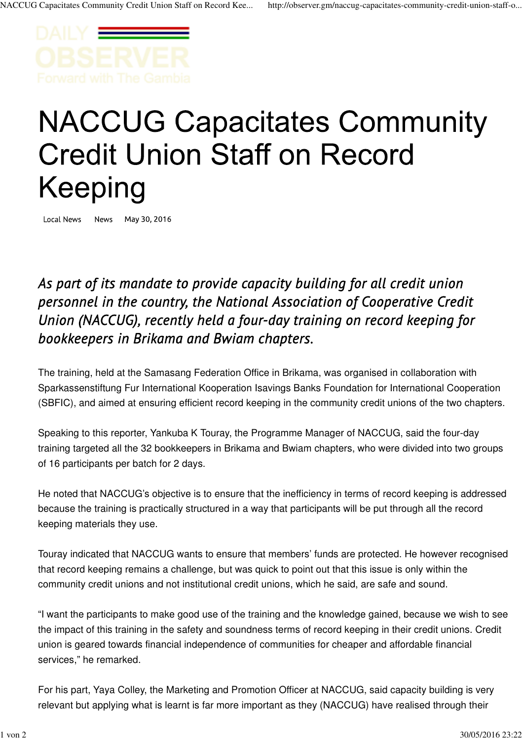

## **NACCUG Capacitates Community Credit Union Staff on Record** Keeping

Local News News May 30, 2016

As part of its mandate to provide capacity building for all credit union personnel in the country, the National Association of Cooperative Credit Union (NACCUG), recently held a four-day training on record keeping for bookkeepers in Brikama and Bwiam chapters.

The training, held at the Samasang Federation Office in Brikama, was organised in collaboration with Sparkassenstiftung Fur International Kooperation Isavings Banks Foundation for International Cooperation (SBFIC), and aimed at ensuring efficient record keeping in the community credit unions of the two chapters.

Speaking to this reporter, Yankuba K Touray, the Programme Manager of NACCUG, said the four-day training targeted all the 32 bookkeepers in Brikama and Bwiam chapters, who were divided into two groups of 16 participants per batch for 2 days.

He noted that NACCUG's objective is to ensure that the inefficiency in terms of record keeping is addressed because the training is practically structured in a way that participants will be put through all the record keeping materials they use.

Touray indicated that NACCUG wants to ensure that members' funds are protected. He however recognised that record keeping remains a challenge, but was quick to point out that this issue is only within the community credit unions and not institutional credit unions, which he said, are safe and sound.

"I want the participants to make good use of the training and the knowledge gained, because we wish to see the impact of this training in the safety and soundness terms of record keeping in their credit unions. Credit union is geared towards financial independence of communities for cheaper and affordable financial services," he remarked.

For his part, Yaya Colley, the Marketing and Promotion Officer at NACCUG, said capacity building is very relevant but applying what is learnt is far more important as they (NACCUG) have realised through their